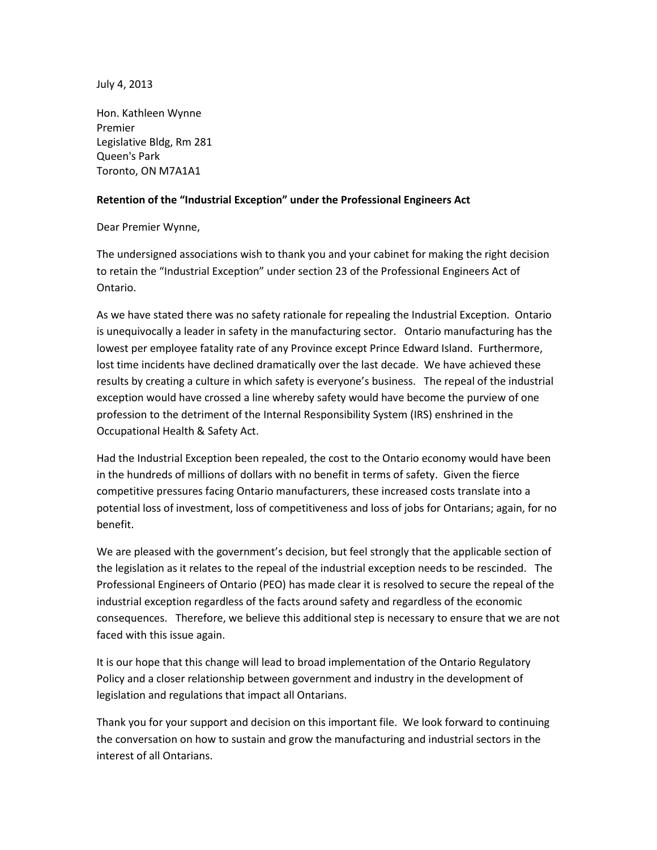July 4, 2013

Hon. Kathleen Wynne Premier Legislative Bldg, Rm 281 Queen's Park Toronto, ON M7A1A1

## **Retention of the "Industrial Exception" under the Professional Engineers Act**

Dear Premier Wynne,

The undersigned associations wish to thank you and your cabinet for making the right decision to retain the "Industrial Exception" under section 23 of the Professional Engineers Act of Ontario.

As we have stated there was no safety rationale for repealing the Industrial Exception. Ontario is unequivocally a leader in safety in the manufacturing sector. Ontario manufacturing has the lowest per employee fatality rate of any Province except Prince Edward Island. Furthermore, lost time incidents have declined dramatically over the last decade. We have achieved these results by creating a culture in which safety is everyone's business. The repeal of the industrial exception would have crossed a line whereby safety would have become the purview of one profession to the detriment of the Internal Responsibility System (IRS) enshrined in the Occupational Health & Safety Act.

Had the Industrial Exception been repealed, the cost to the Ontario economy would have been in the hundreds of millions of dollars with no benefit in terms of safety. Given the fierce competitive pressures facing Ontario manufacturers, these increased costs translate into a potential loss of investment, loss of competitiveness and loss of jobs for Ontarians; again, for no benefit.

We are pleased with the government's decision, but feel strongly that the applicable section of the legislation as it relates to the repeal of the industrial exception needs to be rescinded. The Professional Engineers of Ontario (PEO) has made clear it is resolved to secure the repeal of the industrial exception regardless of the facts around safety and regardless of the economic consequences. Therefore, we believe this additional step is necessary to ensure that we are not faced with this issue again.

It is our hope that this change will lead to broad implementation of the Ontario Regulatory Policy and a closer relationship between government and industry in the development of legislation and regulations that impact all Ontarians.

Thank you for your support and decision on this important file. We look forward to continuing the conversation on how to sustain and grow the manufacturing and industrial sectors in the interest of all Ontarians.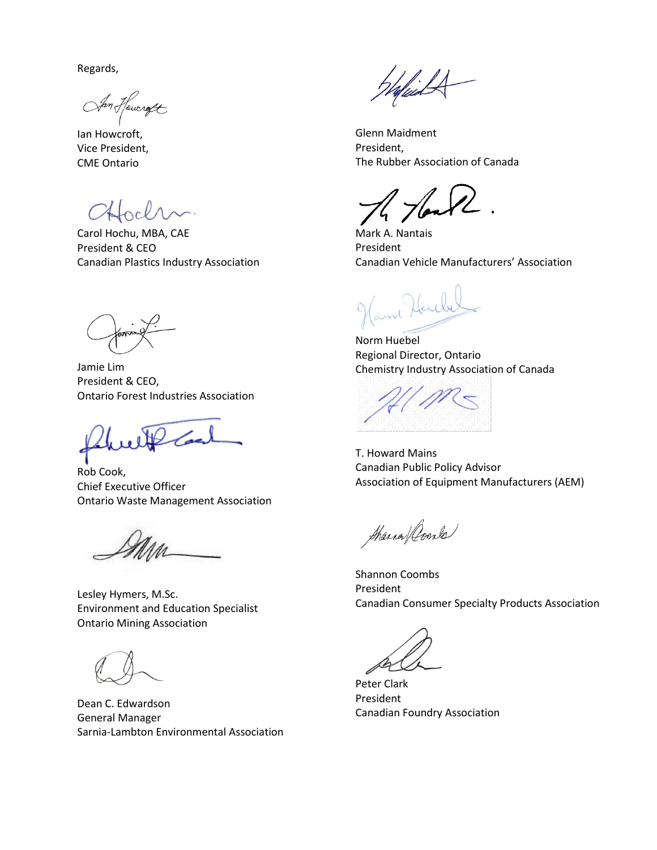Regards,

San Hournoft

Ian Howcroft, Vice President, CME Ontario

CHochn.

Carol Hochu, MBA, CAE President & CEO Canadian Plastics Industry Association

Jamie Lim President & CEO, Ontario Forest Industries Association

with

Rob Cook, Chief Executive Officer Ontario Waste Management Association

Lesley Hymers, M.Sc. Environment and Education Specialist Ontario Mining Association

Dean C. Edwardson General Manager Sarnia-Lambton Environmental Association

WafisidA

Glenn Maidment President, The Rubber Association of Canada

Hon

Mark A. Nantais President Canadian Vehicle Manufacturers' Association

m Harely

Norm Huebel Regional Director, Ontario Chemistry Industry Association of Canada

T. Howard Mains Canadian Public Policy Advisor Association of Equipment Manufacturers (AEM)

Sharren Comba

Shannon Coombs President Canadian Consumer Specialty Products Association

Peter Clark President Canadian Foundry Association